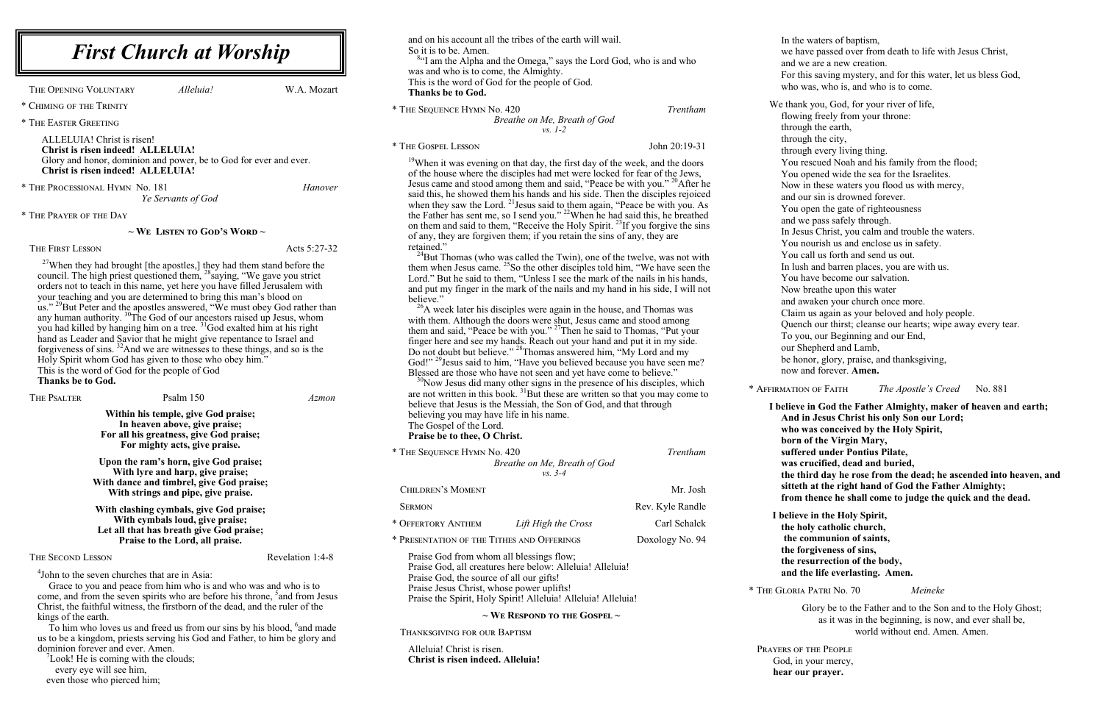and on his account all the tribes of the earth will wail. So it is to be. Amen.

<sup>84</sup>I am the Alpha and the Omega," says the Lord God, who is and who was and who is to come, the Almighty. This is the word of God for the people of God.

**Thanks be to God.**

\* The Sequence Hymn No. 420 *Trentham Breathe on Me, Breath of God vs. 1-2*

\* The Gospel Lesson John 20:19-31

 $19$ When it was evening on that day, the first day of the week, and the doors of the house where the disciples had met were locked for fear of the Jews, Jesus came and stood among them and said, "Peace be with you." <sup>20</sup>After he said this, he showed them his hands and his side. Then the disciples rejoiced when they saw the Lord. <sup>21</sup> Jesus said to them again, "Peace be with you. As the Father has sent me, so I send you." <sup>22</sup>When he had said this, he breathed on them and said to them, "Receive the Holy Spirit.<sup>23</sup>If you forgive the sins of any, they are forgiven them; if you retain the sins of any, they are retained."

<sup>24</sup>But Thomas (who was called the Twin), one of the twelve, was not with them when Jesus came.  $^{25}$ So the other disciples told him, "We have seen the Lord." But he said to them, "Unless I see the mark of the nails in his hands, and put my finger in the mark of the nails and my hand in his side, I will not believe."

 $^{26}$ A week later his disciples were again in the house, and Thomas was with them. Although the doors were shut, Jesus came and stood among them and said, "Peace be with you."<sup>27</sup>Then he said to Thomas, "Put your finger here and see my hands. Reach out your hand and put it in my side. Do not doubt but believe." <sup>28</sup>Thomas answered him, "My Lord and my God!"<sup>29</sup>Jesus said to him, "Have you believed because you have seen me? Blessed are those who have not seen and yet have come to believe."

 $30$ Now Jesus did many other signs in the presence of his disciples, which are not written in this book.  $3^{1}$ But these are written so that you may come to believe that Jesus is the Messiah, the Son of God, and that through believing you may have life in his name. The Gospel of the Lord.

**Praise be to thee, O Christ.**

| * THE SEQUENCE HYMN No. 420                                                                                                       |                                                                                                                            | Trentham         |
|-----------------------------------------------------------------------------------------------------------------------------------|----------------------------------------------------------------------------------------------------------------------------|------------------|
|                                                                                                                                   | Breathe on Me, Breath of God<br>$vs. 3-4$                                                                                  |                  |
| CHILDREN'S MOMENT                                                                                                                 |                                                                                                                            | Mr. Josh         |
| <b>SERMON</b>                                                                                                                     |                                                                                                                            | Rev. Kyle Randle |
| * OFFERTORY ANTHEM                                                                                                                | Lift High the Cross                                                                                                        | Carl Schalck     |
| * PRESENTATION OF THE TITHES AND OFFERINGS                                                                                        |                                                                                                                            | Doxology No. 94  |
| Praise God from whom all blessings flow;<br>Praise God, the source of all our gifts!<br>Praise Jesus Christ, whose power uplifts! | Praise God, all creatures here below: Alleluia! Alleluia!<br>Praise the Spirit, Holy Spirit! Alleluia! Alleluia! Alleluia! |                  |
|                                                                                                                                   | $\sim$ We Respond to the Gospel $\sim$                                                                                     |                  |

Thanksgiving for our Baptism

Alleluia! Christ is risen. **Christ is risen indeed. Alleluia!**

 $27$ When they had brought [the apostles,] they had them stand before the council. The high priest questioned them, <sup>28</sup>saying, "We gave you strict orders not to teach in this name, yet here you have filled Jerusalem with your teaching and you are determined to bring this man's blood on us."<sup>29</sup>But Peter and the apostles answered, "We must obey God rather than any human authority.  ${}^{30}$ The God of our ancestors raised up Jesus, whom you had killed by hanging him on a tree. <sup>31</sup>God exalted him at his right hand as Leader and Savior that he might give repentance to Israel and forgiveness of sins. <sup>32</sup>And we are witnesses to these things, and so is the Holy Spirit whom God has given to those who obey him." This is the word of God for the people of God **Thanks be to God.**

THE PSALTER Psalm 150 *Azmon* 

In the waters of baptism, we have passed over from death to life with Jesus Christ, and we are a new creation. For this saving mystery, and for this water, let us bless God, who was, who is, and who is to come. We thank you, God, for your river of life, flowing freely from your throne: through the earth, through the city, through every living thing. You rescued Noah and his family from the flood; You opened wide the sea for the Israelites. Now in these waters you flood us with mercy, and our sin is drowned forever. You open the gate of righteousness and we pass safely through. In Jesus Christ, you calm and trouble the waters. You nourish us and enclose us in safety. You call us forth and send us out. In lush and barren places, you are with us. You have become our salvation. Now breathe upon this water and awaken your church once more. Claim us again as your beloved and holy people. Quench our thirst; cleanse our hearts; wipe away every tear. To you, our Beginning and our End, our Shepherd and Lamb, be honor, glory, praise, and thanksgiving, now and forever. **Amen.**

| <b>believe</b> i |
|------------------|
| And in           |
| who w            |
| born o           |
| suffere          |
| was cr           |
| the thi          |
| sitteth          |
| from t           |

To him who loves us and freed us from our sins by his blood,  $6$  and made us to be a kingdom, priests serving his God and Father, to him be glory and dominion forever and ever. Amen.

 $\mathrm{7}$ Look! He is coming with the clouds; every eye will see him,

\* Affirmation of Faith *The Apostle's Creed* No. 881

**I believe in God the Father Almighty, maker of heaven and earth; Jesus Christ his only Son our Lord;** as conceived by the Holy Spirit, *b* f the Virgin Mary, **substme Pontius Pilate, was crucified, dead and buried, the the third day he rose from the dead; he ascended into heaven, and** at the right hand of God the Father Almighty; **from thence he shall come to judge the quick and the dead.**

**I believe in the Holy Spirit, the holy catholic church, the communion of saints, the forgiveness of sins, the resurrection of the body, and the life everlasting. Amen.** 

\* The Gloria Patri No. 70 *Meineke*

Glory be to the Father and to the Son and to the Holy Ghost; as it was in the beginning, is now, and ever shall be, world without end. Amen. Amen.

Prayers of the People God, in your mercy, **hear our prayer.**

The Opening Voluntary *Alleluia!* W.A. Mozart

\* Chiming of the Trinity

\* The Easter Greeting

ALLELUIA! Christ is risen! **Christ is risen indeed! ALLELUIA!** Glory and honor, dominion and power, be to God for ever and ever. **Christ is risen indeed! ALLELUIA!**

\* The Processional Hymn No. 181 *Hanover Ye Servants of God*

\* The Prayer of the Day

**~ We Listen to God's Word ~**

#### THE FIRST LESSON Acts 5:27-32

**Within his temple, give God praise; In heaven above, give praise; For all his greatness, give God praise; For mighty acts, give praise.** 

**Upon the ram's horn, give God praise; With lyre and harp, give praise; With dance and timbrel, give God praise; With strings and pipe, give praise.** 

**With clashing cymbals, give God praise; With cymbals loud, give praise; Let all that has breath give God praise; Praise to the Lord, all praise.** 

#### THE SECOND LESSON Revelation 1:4-8

4 John to the seven churches that are in Asia:

Grace to you and peace from him who is and who was and who is to come, and from the seven spirits who are before his throne, <sup>5</sup> and from Jesus Christ, the faithful witness, the firstborn of the dead, and the ruler of the kings of the earth.

even those who pierced him;

## *First Church at Worship*